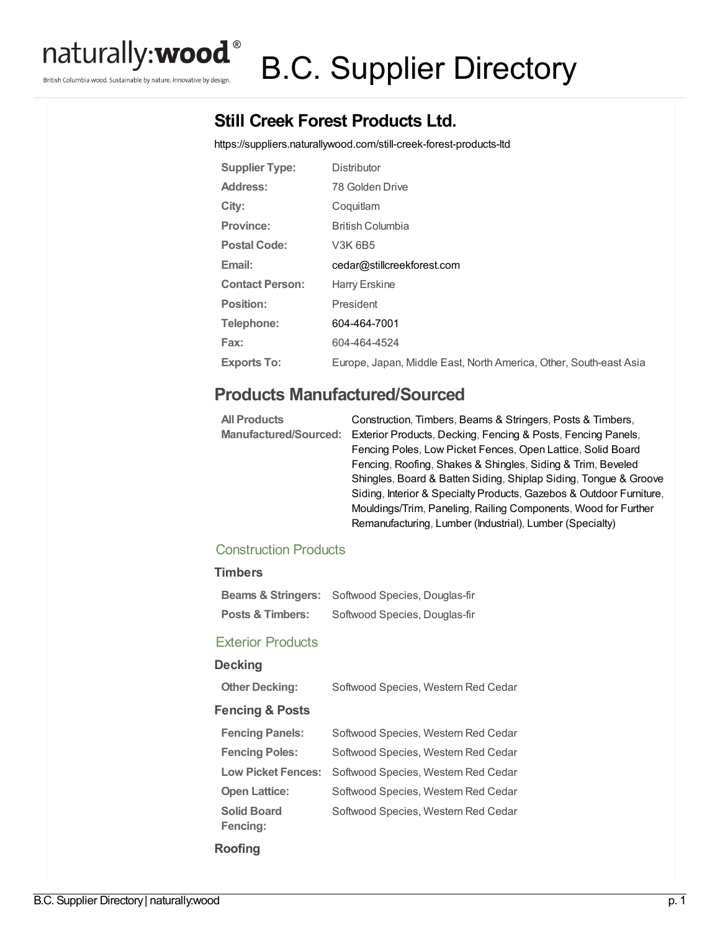

British Columbia wood. Sustainable by nature. Innovative by design.

# B.C. Supplier Directory

# **Still Creek Forest Products Ltd.**

<https://suppliers.naturallywood.com/still-creek-forest-products-ltd>

| <b>Supplier Type:</b>  | <b>Distributor</b>                                                |
|------------------------|-------------------------------------------------------------------|
| Address:               | 78 Golden Drive                                                   |
| City:                  | Coquitlam                                                         |
| <b>Province:</b>       | <b>British Columbia</b>                                           |
| <b>Postal Code:</b>    | V3K 6B5                                                           |
| Email:                 | cedar@stillcreekforest.com                                        |
| <b>Contact Person:</b> | Harry Erskine                                                     |
| Position:              | President                                                         |
| Telephone:             | 604-464-7001                                                      |
| Fax:                   | 604-464-4524                                                      |
| <b>Exports To:</b>     | Europe, Japan, Middle East, North America, Other, South-east Asia |

## **Products Manufactured/Sourced**

| <b>All Products</b> | Construction, Timbers, Beams & Stringers, Posts & Timbers,                         |
|---------------------|------------------------------------------------------------------------------------|
|                     | Manufactured/Sourced: Exterior Products, Decking, Fencing & Posts, Fencing Panels, |
|                     | Fencing Poles, Low Picket Fences, Open Lattice, Solid Board                        |
|                     | Fencing, Roofing, Shakes & Shingles, Siding & Trim, Beveled                        |
|                     | Shingles, Board & Batten Siding, Shiplap Siding, Tongue & Groove                   |
|                     | Siding, Interior & Specialty Products, Gazebos & Outdoor Furniture,                |
|                     | Mouldings/Trim, Paneling, Railing Components, Wood for Further                     |
|                     | Remanufacturing, Lumber (Industrial), Lumber (Specialty)                           |

## Construction Products

#### **Timbers**

| Softwood Species, Douglas-fir |
|-------------------------------|
|                               |

#### Exterior Products

## **Decking**

| <b>DECKING</b>                        |                                     |
|---------------------------------------|-------------------------------------|
| <b>Other Decking:</b>                 | Softwood Species, Western Red Cedar |
| <b>Fencing &amp; Posts</b>            |                                     |
| <b>Fencing Panels:</b>                | Softwood Species, Western Red Cedar |
| <b>Fencing Poles:</b>                 | Softwood Species, Western Red Cedar |
| <b>Low Picket Fences:</b>             | Softwood Species, Western Red Cedar |
| <b>Open Lattice:</b>                  | Softwood Species, Western Red Cedar |
| <b>Solid Board</b><br><b>Fencing:</b> | Softwood Species, Western Red Cedar |
| Roofing                               |                                     |